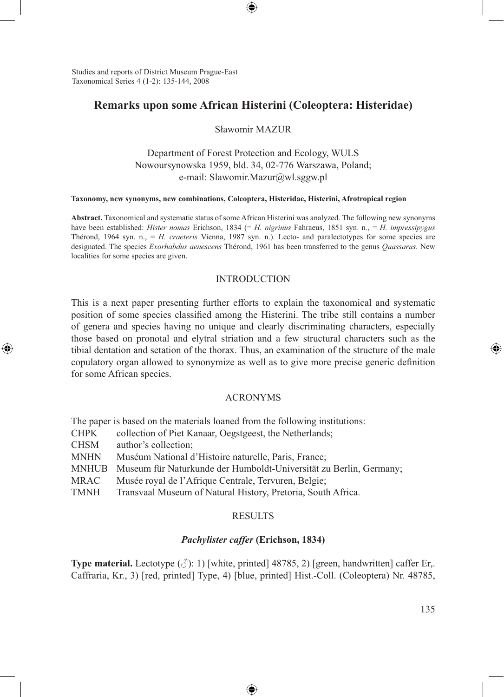Studies and reports of District Museum Prague-East Taxonomical Series 4 (1-2): 135-144, 2008

⊕

# **Remarks upon some African Histerini (Coleoptera: Histeridae)**

⊕

Sławomir MAZUR

Department of Forest Protection and Ecology, WULS Nowoursynowska 1959, bld. 34, 02-776 Warszawa, Poland; e-mail: Slawomir.Mazur@wl.sggw.pl

#### **Taxonomy, new synonyms, new combinations, Coleoptera, Histeridae, Histerini, Afrotropical region**

**Abstract.** Taxonomical and systematic status of some African Histerini was analyzed. The following new synonyms have been established: *Hister nomas* Erichson, 1834 (= *H. nigrinus* Fahraeus, 1851 syn. n., = *H. impressipygus* Thérond, 1964 syn. n., = *H. craeteris* Vienna, 1987 syn. n.). Lecto- and paralectotypes for some species are designated. The species *Exorhabdus aenescens* Thérond, 1961 has been transferred to the genus *Quassarus.* New localities for some species are given.

#### INTRODUCTION

This is a next paper presenting further efforts to explain the taxonomical and systematic position of some species classified among the Histerini. The tribe still contains a number of genera and species having no unique and clearly discriminating characters, especially those based on pronotal and elytral striation and a few structural characters such as the tibial dentation and setation of the thorax. Thus, an examination of the structure of the male copulatory organ allowed to synonymize as well as to give more precise generic definition for some African species.

#### ACRONYMS

The paper is based on the materials loaned from the following institutions: CHPK collection of Piet Kanaar, Oegstgeest, the Netherlands; CHSM author's collection; MNHN Muséum National d'Histoire naturelle, Paris, France; MNHUB Museum für Naturkunde der Humboldt-Universität zu Berlin, Germany; MRAC Musée royal de l'Afrique Centrale, Tervuren, Belgie; TMNH Transvaal Museum of Natural History, Pretoria, South Africa.

## **RESULTS**

#### *Pachylister caffer* **(Erichson, 1834)**

**Type material.** Lectotype  $(\vec{\gamma})$ : 1) [white, printed] 48785, 2) [green, handwritten] caffer Er,. Caffraria, Kr., 3) [red, printed] Type, 4) [blue, printed] Hist.-Coll. (Coleoptera) Nr. 48785,

⊕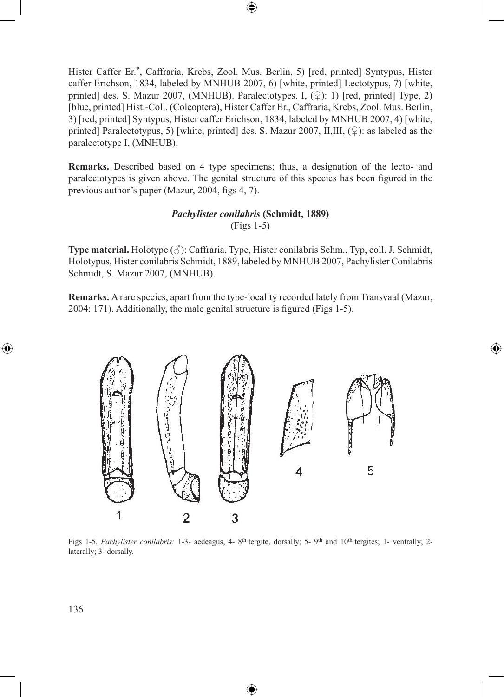Hister Caffer Er.\*, Caffraria, Krebs, Zool. Mus. Berlin, 5) [red, printed] Syntypus, Hister caffer Erichson, 1834, labeled by MNHUB 2007, 6) [white, printed] Lectotypus, 7) [white, printed] des. S. Mazur 2007, (MNHUB). Paralectotypes. I,  $(\varphi)$ : 1) [red, printed] Type, 2) [blue, printed] Hist.-Coll. (Coleoptera), Hister Caffer Er., Caffraria, Krebs, Zool. Mus. Berlin, 3) [red, printed] Syntypus, Hister caffer Erichson, 1834, labeled by MNHUB 2007, 4) [white, printed] Paralectotypus, 5) [white, printed] des. S. Mazur 2007, II,III,  $(\circ)$ : as labeled as the paralectotype I, (MNHUB).

**Remarks.** Described based on 4 type specimens; thus, a designation of the lecto- and paralectotypes is given above. The genital structure of this species has been figured in the previous author's paper (Mazur, 2004, figs 4, 7).

## *Pachylister conilabris* **(Schmidt, 1889)** (Figs 1-5)

**Type material.** Holotype (♂): Caffraria, Type, Hister conilabris Schm., Typ, coll. J. Schmidt, Holotypus, Hister conilabris Schmidt, 1889, labeled by MNHUB 2007, Pachylister Conilabris Schmidt, S. Mazur 2007, (MNHUB).

**Remarks.** A rare species, apart from the type-locality recorded lately from Transvaal (Mazur, 2004: 171). Additionally, the male genital structure is figured (Figs 1-5).

⊕



Figs 1-5. *Pachylister conilabris:* 1-3- aedeagus, 4- 8<sup>th</sup> tergite, dorsally; 5- 9<sup>th</sup> and 10<sup>th</sup> tergites; 1- ventrally; 2laterally; 3- dorsally.

⊕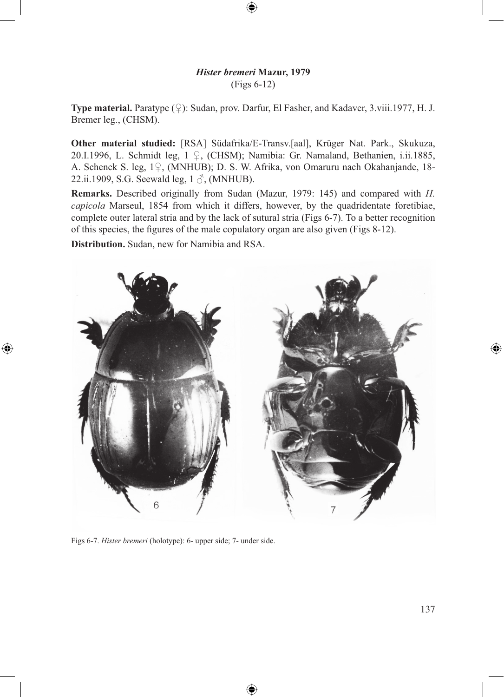## *Hister bremeri* **Mazur, 1979** (Figs 6-12)

⊕

**Type material.** Paratype (♀): Sudan, prov. Darfur, El Fasher, and Kadaver, 3.viii.1977, H. J. Bremer leg., (CHSM).

**Other material studied:** [RSA] Südafrika/E-Transv.[aal], Krüger Nat. Park., Skukuza, 20.I.1996, L. Schmidt leg, 1 ♀, (CHSM); Namibia: Gr. Namaland, Bethanien, i.ii.1885, A. Schenck S. leg, 1♀, (MNHUB); D. S. W. Afrika, von Omaruru nach Okahanjande, 18- 22.ii.1909, S.G. Seewald leg,  $1 \delta$ , (MNHUB).

**Remarks.** Described originally from Sudan (Mazur, 1979: 145) and compared with *H. capicola* Marseul, 1854 from which it differs, however, by the quadridentate foretibiae, complete outer lateral stria and by the lack of sutural stria (Figs 6-7). To a better recognition of this species, the figures of the male copulatory organ are also given (Figs 8-12).

**Distribution.** Sudan, new for Namibia and RSA.

⊕



Figs 6-7. *Hister bremeri* (holotype): 6- upper side; 7- under side.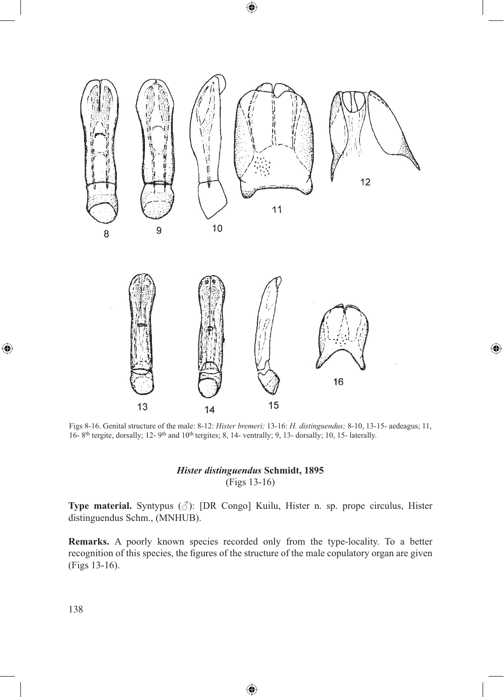

 $\bigoplus$ 

Figs 8-16. Genital structure of the male: 8-12: *Hister bremeri;* 13-16: *H. distinguendus;* 8-10, 13-15- aedeagus; 11, 16- 8<sup>th</sup> tergite, dorsally; 12- 9<sup>th</sup> and 10<sup>th</sup> tergites; 8, 14- ventrally; 9, 13- dorsally; 10, 15- laterally.

 $\bigoplus$ 

# *Hister distinguendus* **Schmidt, 1895** (Figs 13-16)

**Type material.** Syntypus (♂): [DR Congo] Kuilu, Hister n. sp. prope circulus, Hister distinguendus Schm., (MNHUB).

**Remarks.** A poorly known species recorded only from the type-locality. To a better recognition of this species, the figures of the structure of the male copulatory organ are given (Figs 13-16).

⊕

 $\bigoplus$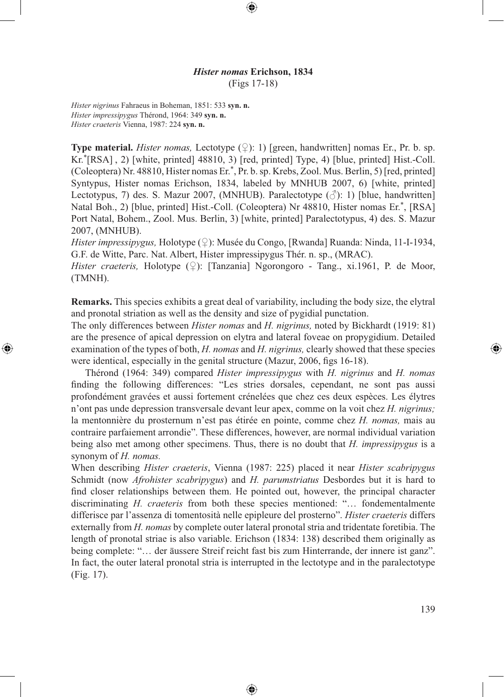## *Hister nomas* **Erichson, 1834** (Figs 17-18)

⊕

*Hister nigrinus* Fahraeus in Boheman, 1851: 533 **syn. n.** *Hister impressipygus* Thérond, 1964: 349 **syn. n.** *Hister craeteris* Vienna, 1987: 224 **syn. n.**

⊕

**Type material.** *Hister nomas*, Lectotype  $(\circled{)}$ : 1) [green, handwritten] nomas Er., Pr. b. sp. Kr.\*[RSA] , 2) [white, printed] 48810, 3) [red, printed] Type, 4) [blue, printed] Hist.-Coll. (Coleoptera) Nr. 48810, Hister nomas Er.\*, Pr. b. sp. Krebs, Zool. Mus. Berlin, 5) [red, printed] Syntypus, Hister nomas Erichson, 1834, labeled by MNHUB 2007, 6) [white, printed] Lectotypus, 7) des. S. Mazur 2007, (MNHUB). Paralectotype  $(\vec{\triangle})$ : 1) [blue, handwritten] Natal Boh., 2) [blue, printed] Hist.-Coll. (Coleoptera) Nr 48810, Hister nomas Er.\*, [RSA] Port Natal, Bohem., Zool. Mus. Berlin, 3) [white, printed] Paralectotypus, 4) des. S. Mazur 2007, (MNHUB).

*Hister impressipygus,* Holotype (♀): Musée du Congo, [Rwanda] Ruanda: Ninda, 11-I-1934, G.F. de Witte, Parc. Nat. Albert, Hister impressipygus Thér. n. sp., (MRAC).

*Hister craeteris, Holotype* (♀): [Tanzania] Ngorongoro - Tang., xi.1961, P. de Moor, (TMNH).

**Remarks.** This species exhibits a great deal of variability, including the body size, the elytral and pronotal striation as well as the density and size of pygidial punctation.

The only differences between *Hister nomas* and *H. nigrinus,* noted by Bickhardt (1919: 81) are the presence of apical depression on elytra and lateral foveae on propygidium. Detailed examination of the types of both, *H. nomas* and *H. nigrinus,* clearly showed that these species were identical, especially in the genital structure (Mazur, 2006, figs 16-18).

Thérond (1964: 349) compared *Hister impressipygus* with *H. nigrinus* and *H. nomas*  finding the following differences: "Les stries dorsales, cependant, ne sont pas aussi profondément gravées et aussi fortement crénelées que chez ces deux espèces. Les élytres n'ont pas unde depression transversale devant leur apex, comme on la voit chez *H. nigrinus;*  la mentonnière du prosternum n'est pas étirée en pointe, comme chez *H. nomas,* mais au contraire parfaiement arrondie". These differences, however, are normal individual variation being also met among other specimens. Thus, there is no doubt that *H. impressipygus* is a synonym of *H. nomas.*

When describing *Hister craeteris*, Vienna (1987: 225) placed it near *Hister scabripygus*  Schmidt (now *Afrohister scabripygus*) and *H. parumstriatus* Desbordes but it is hard to find closer relationships between them. He pointed out, however, the principal character discriminating *H. craeteris* from both these species mentioned: "… fondementalmente differisce par l'assenza di tomentosità nelle epipleure del prosterno". *Hister craeteris* differs externally from *H. nomas* by complete outer lateral pronotal stria and tridentate foretibia. The length of pronotal striae is also variable. Erichson (1834: 138) described them originally as being complete: "… der äussere Streif reicht fast bis zum Hinterrande, der innere ist ganz". In fact, the outer lateral pronotal stria is interrupted in the lectotype and in the paralectotype (Fig. 17).

⊕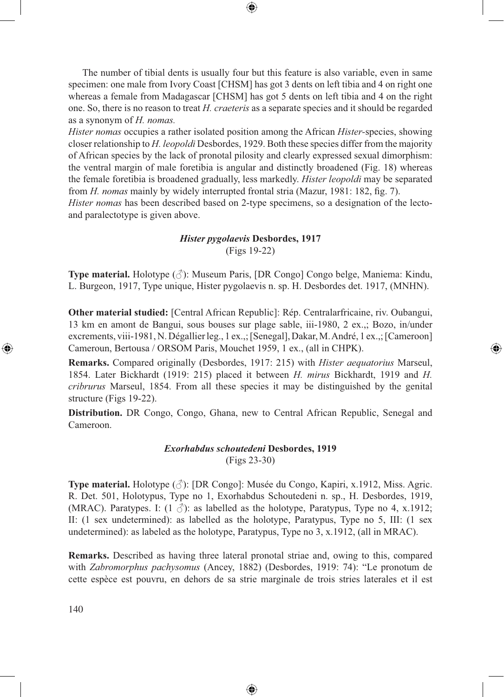The number of tibial dents is usually four but this feature is also variable, even in same specimen: one male from Ivory Coast [CHSM] has got 3 dents on left tibia and 4 on right one whereas a female from Madagascar [CHSM] has got 5 dents on left tibia and 4 on the right one. So, there is no reason to treat *H. craeteris* as a separate species and it should be regarded as a synonym of *H. nomas.*

⊕

*Hister nomas* occupies a rather isolated position among the African *Hister-*species, showing closer relationship to *H. leopoldi* Desbordes, 1929. Both these species differ from the majority of African species by the lack of pronotal pilosity and clearly expressed sexual dimorphism: the ventral margin of male foretibia is angular and distinctly broadened (Fig. 18) whereas the female foretibia is broadened gradually, less markedly. *Hister leopoldi* may be separated from *H. nomas* mainly by widely interrupted frontal stria (Mazur, 1981: 182, fig. 7).

*Hister nomas* has been described based on 2-type specimens, so a designation of the lectoand paralectotype is given above.

# *Hister pygolaevis* **Desbordes, 1917** (Figs 19-22)

**Type material.** Holotype (♂): Museum Paris, [DR Congo] Congo belge, Maniema: Kindu, L. Burgeon, 1917, Type unique, Hister pygolaevis n. sp. H. Desbordes det. 1917, (MNHN).

**Other material studied:** [Central African Republic]: Rép. Centralarfricaine, riv. Oubangui, 13 km en amont de Bangui, sous bouses sur plage sable, iii-1980, 2 ex.,; Bozo, in/under excrements, viii-1981, N. Dégallier leg., 1 ex.,; [Senegal], Dakar, M. André, 1 ex.,; [Cameroon] Cameroun, Bertousa / ORSOM Paris, Mouchet 1959, 1 ex., (all in CHPK).

⊕

**Remarks.** Compared originally (Desbordes, 1917: 215) with *Hister aequatorius* Marseul, 1854. Later Bickhardt (1919: 215) placed it between *H. mirus* Bickhardt, 1919 and *H. cribrurus* Marseul, 1854. From all these species it may be distinguished by the genital structure (Figs 19-22).

**Distribution.** DR Congo, Congo, Ghana, new to Central African Republic, Senegal and Cameroon.

# *Exorhabdus schoutedeni* **Desbordes, 1919**

(Figs 23-30)

**Type material.** Holotype (♂): [DR Congo]: Musée du Congo, Kapiri, x.1912, Miss. Agric. R. Det. 501, Holotypus, Type no 1, Exorhabdus Schoutedeni n. sp., H. Desbordes, 1919, (MRAC). Paratypes. I:  $(1 \text{ } \hat{\mathcal{S}})$ : as labelled as the holotype, Paratypus, Type no 4, x.1912; II: (1 sex undetermined): as labelled as the holotype, Paratypus, Type no 5, III: (1 sex undetermined): as labeled as the holotype, Paratypus, Type no 3, x.1912, (all in MRAC).

**Remarks.** Described as having three lateral pronotal striae and, owing to this, compared with *Zabromorphus pachysomus* (Ancey, 1882) (Desbordes, 1919: 74): "Le pronotum de cette espèce est pouvru, en dehors de sa strie marginale de trois stries laterales et il est

⊕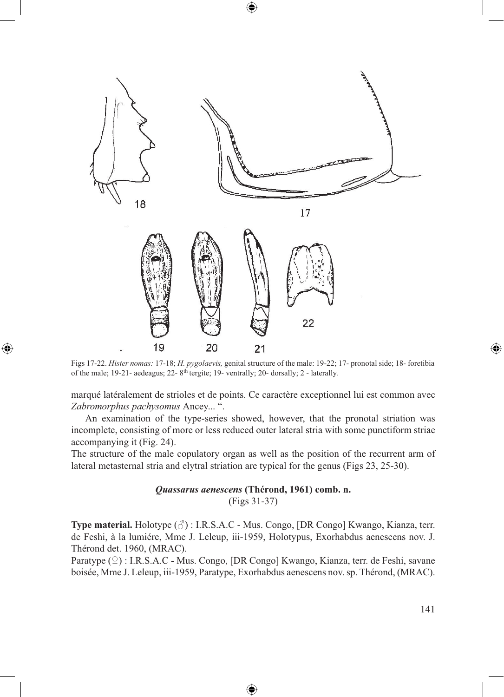

 $\textcircled{\scriptsize{*}}$ 

Figs 17-22. *Hister nomas:* 17-18; *H. pygolaevis,* genital structure of the male: 19-22; 17- pronotal side; 18- foretibia of the male; 19-21- aedeagus; 22- 8<sup>th</sup> tergite; 19- ventrally; 20- dorsally; 2 - laterally.

⊕

marqué latéralement de strioles et de points. Ce caractère exceptionnel lui est common avec *Zabromorphus pachysomus* Ancey... ".

An examination of the type-series showed, however, that the pronotal striation was incomplete, consisting of more or less reduced outer lateral stria with some punctiform striae accompanying it (Fig. 24).

The structure of the male copulatory organ as well as the position of the recurrent arm of lateral metasternal stria and elytral striation are typical for the genus (Figs 23, 25-30).

> *Quassarus aenescens* **(Thérond, 1961) comb. n.** (Figs 31-37)

**Type material.** Holotype (♂) : I.R.S.A.C - Mus. Congo, [DR Congo] Kwango, Kianza, terr. de Feshi, à la lumiére, Mme J. Leleup, iii-1959, Holotypus, Exorhabdus aenescens nov. J. Thérond det. 1960, (MRAC).

Paratype (♀) : I.R.S.A.C - Mus. Congo, [DR Congo] Kwango, Kianza, terr. de Feshi, savane boisée, Mme J. Leleup, iii-1959, Paratype, Exorhabdus aenescens nov. sp. Thérond, (MRAC).

⊕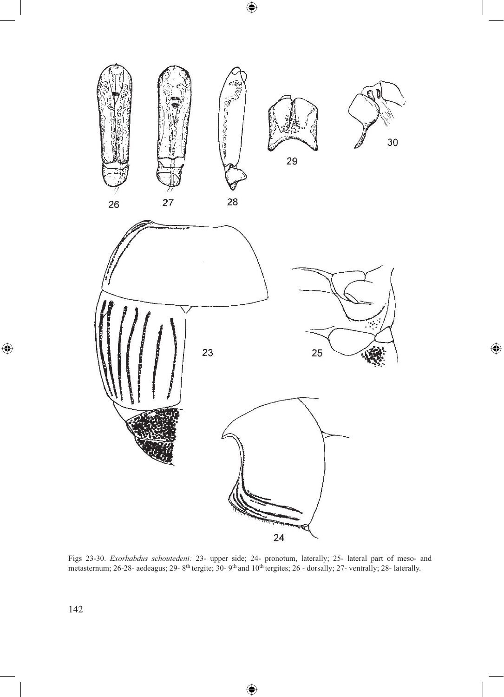$\bigoplus$ 



 $\bigoplus$ 

Figs 23-30. *Exorhabdus schoutedeni:* 23- upper side; 24- pronotum, laterally; 25- lateral part of meso- and metasternum; 26-28- aedeagus; 29- 8<sup>th</sup> tergite; 30- 9<sup>th</sup> and 10<sup>th</sup> tergites; 26 - dorsally; 27- ventrally; 28- laterally.

⊕

 $\bigoplus$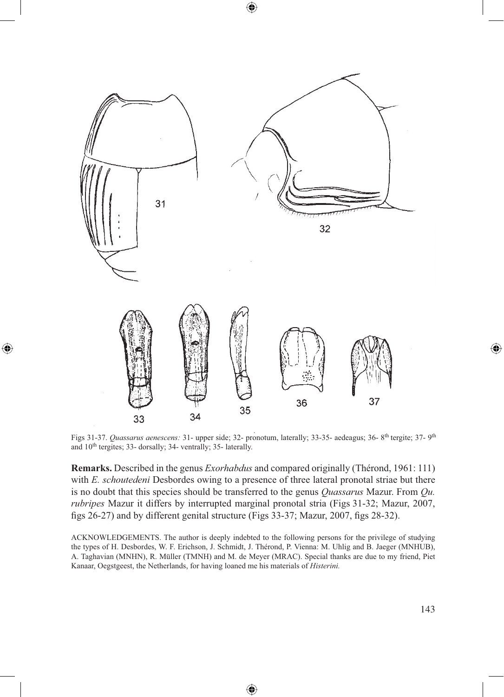

⊕

⊕

Figs 31-37. *Quassarus aenescens:* 31- upper side; 32- pronotum, laterally; 33-35- aedeagus; 36- 8th tergite; 37- 9th and 10th tergites; 33- dorsally; 34- ventrally; 35- laterally.

**Remarks.** Described in the genus *Exorhabdus* and compared originally (Thérond, 1961: 111) with *E. schoutedeni* Desbordes owing to a presence of three lateral pronotal striae but there is no doubt that this species should be transferred to the genus *Quassarus* Mazur. From *Qu. rubripes* Mazur it differs by interrupted marginal pronotal stria (Figs 31-32; Mazur, 2007, figs 26-27) and by different genital structure (Figs 33-37; Mazur, 2007, figs 28-32).

ACKNOWLEDGEMENTS. The author is deeply indebted to the following persons for the privilege of studying the types of H. Desbordes, W. F. Erichson, J. Schmidt, J. Thérond, P. Vienna: M. Uhlig and B. Jaeger (MNHUB), A. Taghavian (MNHN), R. Müller (TMNH) and M. de Meyer (MRAC). Special thanks are due to my friend, Piet Kanaar, Oegstgeest, the Netherlands, for having loaned me his materials of *Histerini.*

⊕